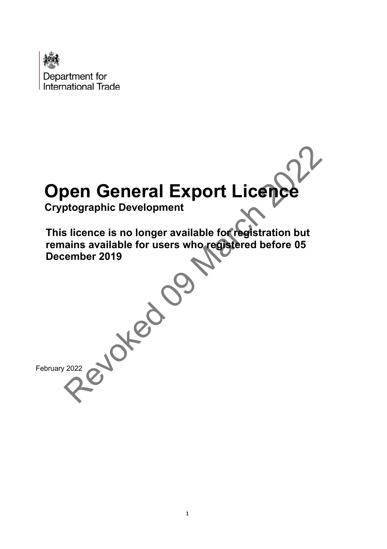

# **Open General Export Licence**

**Cryptographic Development**

**This licence is no longer available for registration but remains available for users who registered before 05 December 2019** Den General Export Licence

February 2022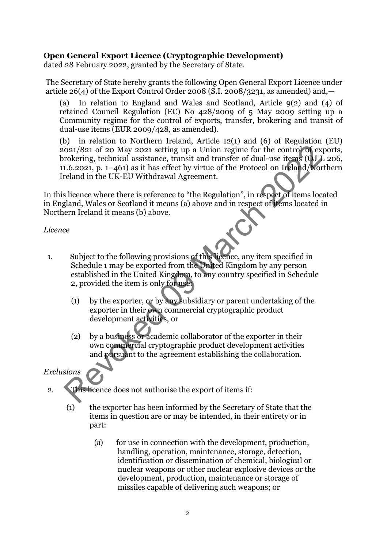## **Open General Export Licence (Cryptographic Development)**

dated 28 February 2022, granted by the Secretary of State.

The Secretary of State hereby grants the following Open General Export Licence under article 26(4) of the Export Control Order 2008 (S.I. 2008/3231, as amended) and,—

(a) In relation to England and Wales and Scotland, Article 9(2) and (4) of retained Council Regulation (EC) No 428/2009 of 5 May 2009 setting up a Community regime for the control of exports, transfer, brokering and transit of dual-use items (EUR 2009/428, as amended).

(b) in relation to Northern Ireland, Article 12(1) and (6) of Regulation (EU) 2021/821 of 20 May 2021 setting up a Union regime for the control of exports, brokering, technical assistance, transit and transfer of dual-use items (OJ L 206, 11.6.2021, p. 1–461) as it has effect by virtue of the Protocol on Ireland/Northern Ireland in the UK-EU Withdrawal Agreement.  $\frac{1}{2}$  (21/821 of 20 May 2021 setting up a Union regime for the control of exportation, technical assistance, transit and transfer of dual-use items (6)  $\pm$  0.6.2021, p. 1–461) as it has effect by virtue of the Protoc

In this licence where there is reference to "the Regulation", in respect of items located in England, Wales or Scotland it means (a) above and in respect of items located in Northern Ireland it means (b) above.

*Licence*

- 1. Subject to the following provisions of this licence, any item specified in Schedule 1 may be exported from the United Kingdom by any person established in the United Kingdom, to any country specified in Schedule 2, provided the item is only for use:
	- (1) by the exporter, or by any subsidiary or parent undertaking of the exporter in their own commercial cryptographic product development activities, or
	- (2) by a business or academic collaborator of the exporter in their own commercial cryptographic product development activities and pursuant to the agreement establishing the collaboration.

## *Exclusions*

2. This licence does not authorise the export of items if:

- (1) the exporter has been informed by the Secretary of State that the items in question are or may be intended, in their entirety or in part:
	- (a) for use in connection with the development, production, handling, operation, maintenance, storage, detection, identification or dissemination of chemical, biological or nuclear weapons or other nuclear explosive devices or the development, production, maintenance or storage of missiles capable of delivering such weapons; or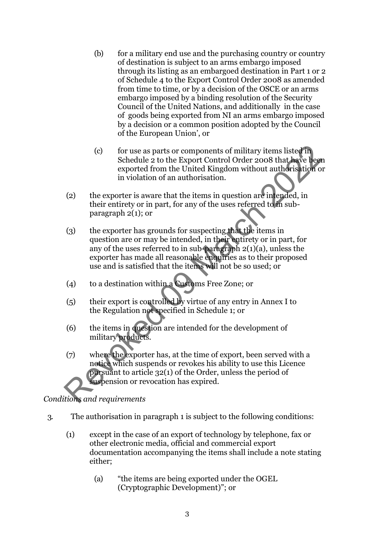- (b) for a military end use and the purchasing country or country of destination is subject to an arms embargo imposed through its listing as an embargoed destination in Part 1 or 2 of Schedule 4 to the Export Control Order 2008 as amended from time to time, or by a decision of the OSCE or an arms embargo imposed by a binding resolution of the Security Council of the United Nations, and additionally in the case of goods being exported from NI an arms embargo imposed by a decision or a common position adopted by the Council of the European Union', or
- (c) for use as parts or components of military items listed in Schedule 2 to the Export Control Order 2008 that have been exported from the United Kingdom without authorisation or in violation of an authorisation.
- (2) the exporter is aware that the items in question are intended, in their entirety or in part, for any of the uses referred to in subparagraph 2(1); or
- (3) the exporter has grounds for suspecting that the items in question are or may be intended, in their entirety or in part, for any of the uses referred to in sub-paragraph 2(1)(a), unless the exporter has made all reasonable enquiries as to their proposed use and is satisfied that the items will not be so used; or (c) for use as parts or components of military items listed in Schedule 2 to the Export Control Order 2008 that have been exported from the United Kingdom without authorisation in violation of an authorisation.<br>
(2) the e
- (4) to a destination within a Customs Free Zone; or
- (5) their export is controlled by virtue of any entry in Annex I to the Regulation not specified in Schedule 1; or
- (6) the items in question are intended for the development of military products.
- (7) where the exporter has, at the time of export, been served with a notice which suspends or revokes his ability to use this Licence pursuant to article 32(1) of the Order, unless the period of suspension or revocation has expired.

# *Conditions and requirements*

- 3. The authorisation in paragraph 1 is subject to the following conditions:
	- (1) except in the case of an export of technology by telephone, fax or other electronic media, official and commercial export documentation accompanying the items shall include a note stating either;
		- (a) "the items are being exported under the OGEL (Cryptographic Development)"; or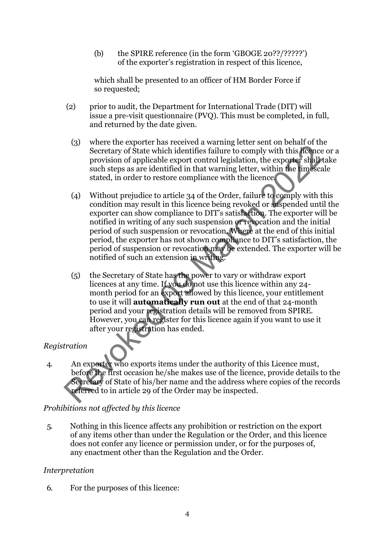(b) the SPIRE reference (in the form 'GBOGE 20??/?????') of the exporter's registration in respect of this licence,

which shall be presented to an officer of HM Border Force if so requested;

- (2) prior to audit, the Department for International Trade (DIT) will issue a pre-visit questionnaire (PVQ). This must be completed, in full, and returned by the date given.
	- (3) where the exporter has received a warning letter sent on behalf of the Secretary of State which identifies failure to comply with this licence or a provision of applicable export control legislation, the exporter shall take such steps as are identified in that warning letter, within the timescale stated, in order to restore compliance with the licence.
- (4) Without prejudice to article 34 of the Order, failure to comply with this condition may result in this licence being revoked or suspended until the exporter can show compliance to DIT's satisfaction. The exporter will be notified in writing of any such suspension or revocation and the initial period of such suspension or revocation. Where at the end of this initial period, the exporter has not shown compliance to DIT's satisfaction, the period of suspension or revocation may be extended. The exporter will be notified of such an extension in writing. Secretary of State which identifies failure to comply with this respectively by solve the state with identifies failure to comply with this respectively evolvison of applicable expret control legislation, the exporter sha
	- (5) the Secretary of State has the power to vary or withdraw export licences at any time. If you do not use this licence within any 24 month period for an export allowed by this licence, your entitlement to use it will **automatically run out** at the end of that 24-month period and your registration details will be removed from SPIRE. However, you can register for this licence again if you want to use it after your registration has ended.

## *Registration*

4. An exporter who exports items under the authority of this Licence must, before the first occasion he/she makes use of the licence, provide details to the Secretary of State of his/her name and the address where copies of the records referred to in article 29 of the Order may be inspected.

## *Prohibitions not affected by this licence*

5. Nothing in this licence affects any prohibition or restriction on the export of any items other than under the Regulation or the Order, and this licence does not confer any licence or permission under, or for the purposes of, any enactment other than the Regulation and the Order.

## *Interpretation*

6. For the purposes of this licence: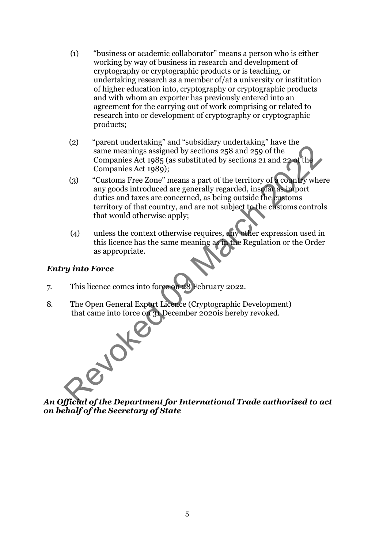- (1) "business or academic collaborator" means a person who is either working by way of business in research and development of cryptography or cryptographic products or is teaching, or undertaking research as a member of/at a university or institution of higher education into, cryptography or cryptographic products and with whom an exporter has previously entered into an agreement for the carrying out of work comprising or related to research into or development of cryptography or cryptographic products;
- (2) "parent undertaking" and "subsidiary undertaking" have the same meanings assigned by sections 258 and 259 of the Companies Act 1985 (as substituted by sections 21 and 22 of the Companies Act 1989);
- (3) "Customs Free Zone" means a part of the territory of a country where any goods introduced are generally regarded, insofar as import duties and taxes are concerned, as being outside the customs territory of that country, and are not subject to the customs controls that would otherwise apply; same meanings assigned by sections 258 and 259 of the<br>
companies Act 1989 (as substituted by sections 21 and 25 of the<br>
Companies Act 1989);<br>
(3) "Customs Free Zone" means a part of the territory of **country** whe<br>
any good
	- (4) unless the context otherwise requires, any other expression used in this licence has the same meaning as in the Regulation or the Order as appropriate.

## *Entry into Force*

- 7. This licence comes into force on 28 February 2022.
- 8. The Open General Export Licence (Cryptographic Development) that came into force on 31 December 2020is hereby revoked.



*An Official of the Department for International Trade authorised to act on behalf of the Secretary of State*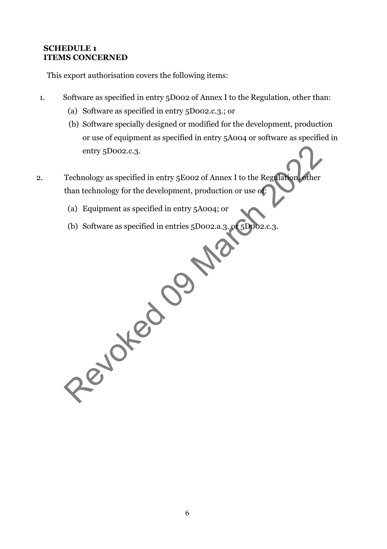### **SCHEDULE 1 ITEMS CONCERNED**

This export authorisation covers the following items:

- 1. Software as specified in entry 5D002 of Annex I to the Regulation, other than:
	- (a) Software as specified in entry 5D002.c.3.; or
	- (b) Software specially designed or modified for the development, production or use of equipment as specified in entry 5A004 or software as specified in entry 5D002.c.3.
- 2. Technology as specified in entry 5E002 of Annex I to the Regulation, other than technology for the development, production or use of: entry 5Doo2.c.3.<br>
Technology as specified in entry 5E002 of Annex I to the Regulation of the<br>
than technology for the development, production or use of<br>
(a) Equipment as specified in entries 5Doo2.a.3. of SDOO2.c.3.<br>
(b) S
	- (a) Equipment as specified in entry 5A004; or
	- (b) Software as specified in entries 5D002.a.3. or 5D002.c.3.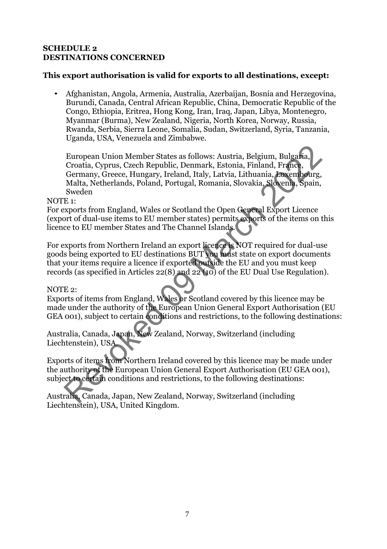#### **SCHEDULE 2 DESTINATIONS CONCERNED**

## **This export authorisation is valid for exports to all destinations, except:**

• Afghanistan, Angola, Armenia, Australia, Azerbaijan, Bosnia and Herzegovina, Burundi, Canada, Central African Republic, China, Democratic Republic of the Congo, Ethiopia, Eritrea, Hong Kong, Iran, Iraq, Japan, Libya, Montenegro, Myanmar (Burma), New Zealand, Nigeria, North Korea, Norway, Russia, Rwanda, Serbia, Sierra Leone, Somalia, Sudan, Switzerland, Syria, Tanzania, Uganda, USA, Venezuela and Zimbabwe.

European Union Member States as follows: Austria, Belgium, Bulgaria, Croatia, Cyprus, Czech Republic, Denmark, Estonia, Finland, France, Germany, Greece, Hungary, Ireland, Italy, Latvia, Lithuania, Luxembourg, Malta, Netherlands, Poland, Portugal, Romania, Slovakia, Slovenia, Spain, Sweden European Union Member States as follows: Austria, Belgium, Bulgaria, Croatia, Cyprus, Czech Republic, Denmark, Estonia, Finland, France, Gremany, Greece, Hungary, Ireland, Italy, Latvia, Lithuania, Angembourg, Greece, Hung

#### NOTE 1:

For exports from England, Wales or Scotland the Open General Export Licence (export of dual-use items to EU member states) permits exports of the items on this licence to EU member States and The Channel Islands.

For exports from Northern Ireland an export licence is NOT required for dual-use goods being exported to EU destinations BUT you must state on export documents that your items require a licence if exported outside the EU and you must keep records (as specified in Articles 22(8) and 22 (10) of the EU Dual Use Regulation).

#### NOTE 2:

Exports of items from England, Wales or Scotland covered by this licence may be made under the authority of the European Union General Export Authorisation (EU GEA 001), subject to certain conditions and restrictions, to the following destinations:

Australia, Canada, Japan, New Zealand, Norway, Switzerland (including Liechtenstein), USA.

Exports of items from Northern Ireland covered by this licence may be made under the authority of the European Union General Export Authorisation (EU GEA 001), subject to certain conditions and restrictions, to the following destinations:

Australia, Canada, Japan, New Zealand, Norway, Switzerland (including Liechtenstein), USA, United Kingdom .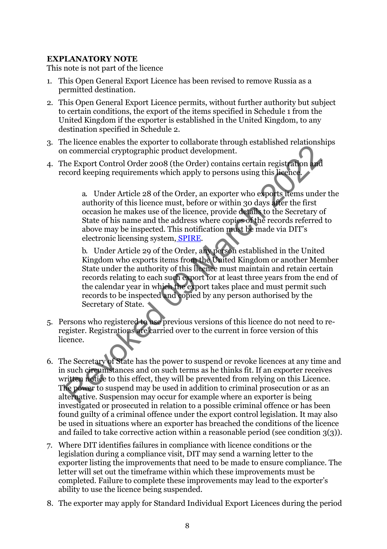## **EXPLANATORY NOTE**

This note is not part of the licence

- 1. This Open General Export Licence has been revised to remove Russia as a permitted destination.
- 2. This Open General Export Licence permits, without further authority but subject to certain conditions, the export of the items specified in Schedule 1 from the United Kingdom if the exporter is established in the United Kingdom, to any destination specified in Schedule 2.
- 3. The licence enables the exporter to collaborate through established relationships on commercial cryptographic product development.
- 4. The Export Control Order 2008 (the Order) contains certain registration and record keeping requirements which apply to persons using this licence.

a. Under Article 28 of the Order, an exporter who exports items under the authority of this licence must, before or within 30 days after the first occasion he makes use of the licence, provide details to the Secretary of State of his name and the address where copies of the records referred to above may be inspected. This notification must be made via DIT's electronic licensing system, SPIRE.

b. Under Article 29 of the Order, any person established in the United Kingdom who exports items from the United Kingdom or another Member State under the authority of this licence must maintain and retain certain records relating to each such export for at least three years from the end of the calendar year in which the export takes place and must permit such records to be inspected and copied by any person authorised by the Secretary of State. From the conduction of the Calcular Service Constant and the server that the experiments of the Grade of the Order) contains certain registration and<br>cord keeping requirements which apply to persons using this likely<br>ceare

- 5. Persons who registered to use previous versions of this licence do not need to reregister. Registrations are carried over to the current in force version of this licence.
- 6. The Secretary of State has the power to suspend or revoke licences at any time and in such circumstances and on such terms as he thinks fit. If an exporter receives written notice to this effect, they will be prevented from relying on this Licence. The power to suspend may be used in addition to criminal prosecution or as an alternative. Suspension may occur for example where an exporter is being investigated or prosecuted in relation to a possible criminal offence or has been found guilty of a criminal offence under the export control legislation. It may also be used in situations where an exporter has breached the conditions of the licence and failed to take corrective action within a reasonable period (see condition 3(3)).
- 7. Where DIT identifies failures in compliance with licence conditions or the legislation during a compliance visit, DIT may send a warning letter to the exporter listing the improvements that need to be made to ensure compliance. The letter will set out the timeframe within which these improvements must be completed. Failure to complete these improvements may lead to the exporter's ability to use the licence being suspended.
- 8. The exporter may apply for Standard Individual Export Licences during the period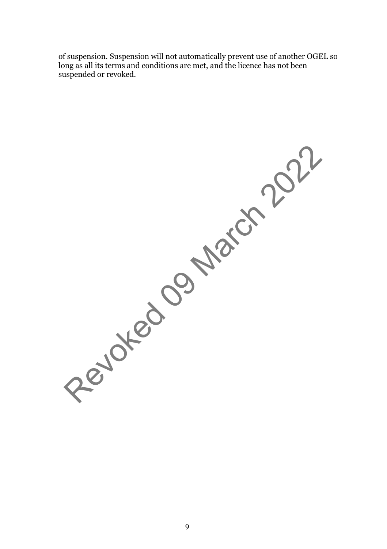of suspension. Suspension will not automatically prevent use of another OGEL so long as all its terms and conditions are met, and the licence has not been suspended or revoked.

Revoked 09 March 2022